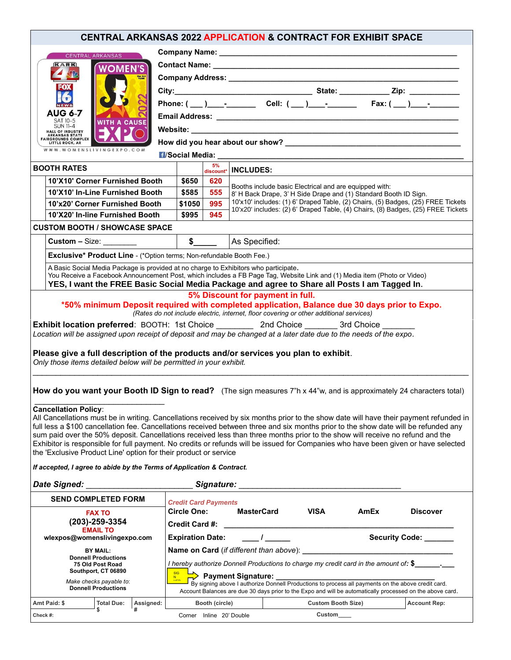| <b>CENTRAL ARKANSAS 2022 APPLICATION &amp; CONTRACT FOR EXHIBIT SPACE</b>                                                                                                                                                                                                                                                                                                                                                                                                                                                                                                                                                                                                                                                                                                                                                                               |                                                                                                         |                                                                                                    |                                                                                                                                                                                                                                                                                                    |  |                           |      |  |                     |  |  |
|---------------------------------------------------------------------------------------------------------------------------------------------------------------------------------------------------------------------------------------------------------------------------------------------------------------------------------------------------------------------------------------------------------------------------------------------------------------------------------------------------------------------------------------------------------------------------------------------------------------------------------------------------------------------------------------------------------------------------------------------------------------------------------------------------------------------------------------------------------|---------------------------------------------------------------------------------------------------------|----------------------------------------------------------------------------------------------------|----------------------------------------------------------------------------------------------------------------------------------------------------------------------------------------------------------------------------------------------------------------------------------------------------|--|---------------------------|------|--|---------------------|--|--|
| <b>CENTRAL ARKANSAS</b>                                                                                                                                                                                                                                                                                                                                                                                                                                                                                                                                                                                                                                                                                                                                                                                                                                 |                                                                                                         |                                                                                                    |                                                                                                                                                                                                                                                                                                    |  |                           |      |  |                     |  |  |
| KARK<br><b>WOMEN'S</b><br>Our 3rd<br>YEAR!<br><b>AUG 6-7</b>                                                                                                                                                                                                                                                                                                                                                                                                                                                                                                                                                                                                                                                                                                                                                                                            |                                                                                                         |                                                                                                    |                                                                                                                                                                                                                                                                                                    |  |                           |      |  |                     |  |  |
|                                                                                                                                                                                                                                                                                                                                                                                                                                                                                                                                                                                                                                                                                                                                                                                                                                                         |                                                                                                         |                                                                                                    |                                                                                                                                                                                                                                                                                                    |  |                           |      |  |                     |  |  |
|                                                                                                                                                                                                                                                                                                                                                                                                                                                                                                                                                                                                                                                                                                                                                                                                                                                         |                                                                                                         |                                                                                                    |                                                                                                                                                                                                                                                                                                    |  |                           |      |  |                     |  |  |
|                                                                                                                                                                                                                                                                                                                                                                                                                                                                                                                                                                                                                                                                                                                                                                                                                                                         |                                                                                                         |                                                                                                    |                                                                                                                                                                                                                                                                                                    |  |                           |      |  |                     |  |  |
|                                                                                                                                                                                                                                                                                                                                                                                                                                                                                                                                                                                                                                                                                                                                                                                                                                                         |                                                                                                         |                                                                                                    |                                                                                                                                                                                                                                                                                                    |  |                           |      |  |                     |  |  |
| SAT 10-5<br><b>WITH A CAUSE</b><br><b>SUN 11-4</b><br><b>HALL OF INDUSTRY</b>                                                                                                                                                                                                                                                                                                                                                                                                                                                                                                                                                                                                                                                                                                                                                                           |                                                                                                         |                                                                                                    |                                                                                                                                                                                                                                                                                                    |  |                           |      |  |                     |  |  |
| <b>ARKANSAS STATE</b><br><b>FAIRGROUNDS COMPLEX</b><br><b>LITTLE ROCK, AR</b>                                                                                                                                                                                                                                                                                                                                                                                                                                                                                                                                                                                                                                                                                                                                                                           |                                                                                                         |                                                                                                    |                                                                                                                                                                                                                                                                                                    |  |                           |      |  |                     |  |  |
| WWW.WOMENSLIVINGEXPO.COM                                                                                                                                                                                                                                                                                                                                                                                                                                                                                                                                                                                                                                                                                                                                                                                                                                |                                                                                                         |                                                                                                    |                                                                                                                                                                                                                                                                                                    |  |                           |      |  |                     |  |  |
| <b>BOOTH RATES</b>                                                                                                                                                                                                                                                                                                                                                                                                                                                                                                                                                                                                                                                                                                                                                                                                                                      |                                                                                                         | 5%                                                                                                 |                                                                                                                                                                                                                                                                                                    |  |                           |      |  |                     |  |  |
| 10'X10' Corner Furnished Booth                                                                                                                                                                                                                                                                                                                                                                                                                                                                                                                                                                                                                                                                                                                                                                                                                          | \$650                                                                                                   | 620                                                                                                | $\frac{3}{\text{discount*}}$ INCLUDES:                                                                                                                                                                                                                                                             |  |                           |      |  |                     |  |  |
| 10'X10' In-Line Furnished Booth                                                                                                                                                                                                                                                                                                                                                                                                                                                                                                                                                                                                                                                                                                                                                                                                                         | \$585                                                                                                   | 555                                                                                                | Booths include basic Electrical and are equipped with:<br>8' H Back Drape, 3' H Side Drape and (1) Standard Booth ID Sign.<br>10'x10' includes: (1) 6' Draped Table, (2) Chairs, (5) Badges, (25) FREE Tickets<br>10'x20' includes: (2) 6' Draped Table, (4) Chairs, (8) Badges, (25) FREE Tickets |  |                           |      |  |                     |  |  |
| 10'x20' Corner Furnished Booth                                                                                                                                                                                                                                                                                                                                                                                                                                                                                                                                                                                                                                                                                                                                                                                                                          | \$1050                                                                                                  | 995                                                                                                |                                                                                                                                                                                                                                                                                                    |  |                           |      |  |                     |  |  |
| 10'X20' In-line Furnished Booth                                                                                                                                                                                                                                                                                                                                                                                                                                                                                                                                                                                                                                                                                                                                                                                                                         | \$995                                                                                                   | 945                                                                                                |                                                                                                                                                                                                                                                                                                    |  |                           |      |  |                     |  |  |
| <b>CUSTOM BOOTH / SHOWCASE SPACE</b>                                                                                                                                                                                                                                                                                                                                                                                                                                                                                                                                                                                                                                                                                                                                                                                                                    |                                                                                                         |                                                                                                    |                                                                                                                                                                                                                                                                                                    |  |                           |      |  |                     |  |  |
| Custom $-$ Size: $\_\_\_\_\_\_\_\_\_\_\_\_\_\_\_$                                                                                                                                                                                                                                                                                                                                                                                                                                                                                                                                                                                                                                                                                                                                                                                                       |                                                                                                         |                                                                                                    | As Specified:                                                                                                                                                                                                                                                                                      |  |                           |      |  |                     |  |  |
|                                                                                                                                                                                                                                                                                                                                                                                                                                                                                                                                                                                                                                                                                                                                                                                                                                                         | $\begin{array}{ c c c }\n\hline\n\text{ }} & \text{\textbf{S}} \quad \text{ \textbf{---}}\n\end{array}$ |                                                                                                    |                                                                                                                                                                                                                                                                                                    |  |                           |      |  |                     |  |  |
| <b>Exclusive* Product Line - (*Option terms; Non-refundable Booth Fee.)</b>                                                                                                                                                                                                                                                                                                                                                                                                                                                                                                                                                                                                                                                                                                                                                                             |                                                                                                         |                                                                                                    |                                                                                                                                                                                                                                                                                                    |  |                           |      |  |                     |  |  |
| A Basic Social Media Package is provided at no charge to Exhibitors who participate.<br>You Receive a Facebook Announcement Post, which includes a FB Page Tag, Website Link and (1) Media item (Photo or Video)                                                                                                                                                                                                                                                                                                                                                                                                                                                                                                                                                                                                                                        |                                                                                                         |                                                                                                    |                                                                                                                                                                                                                                                                                                    |  |                           |      |  |                     |  |  |
| YES, I want the FREE Basic Social Media Package and agree to Share all Posts I am Tagged In.                                                                                                                                                                                                                                                                                                                                                                                                                                                                                                                                                                                                                                                                                                                                                            |                                                                                                         |                                                                                                    |                                                                                                                                                                                                                                                                                                    |  |                           |      |  |                     |  |  |
| *50% minimum Deposit required with completed application, Balance due 30 days prior to Expo.<br>(Rates do not include electric, internet, floor covering or other additional services)<br>Exhibit location preferred: BOOTH: 1st Choice __________ 2nd Choice ________ 3rd Choice _______<br>Location will be assigned upon receipt of deposit and may be changed at a later date due to the needs of the expo.<br>Please give a full description of the products and/or services you plan to exhibit.<br>Only those items detailed below will be permitted in your exhibit.                                                                                                                                                                                                                                                                            |                                                                                                         |                                                                                                    |                                                                                                                                                                                                                                                                                                    |  |                           |      |  |                     |  |  |
| How do you want your Booth ID Sign to read? (The sign measures 7"h x 44"w, and is approximately 24 characters total)<br><b>Cancellation Policy:</b><br>All Cancellations must be in writing. Cancellations received by six months prior to the show date will have their payment refunded in<br>full less a \$100 cancellation fee. Cancellations received between three and six months prior to the show date will be refunded any<br>sum paid over the 50% deposit. Cancellations received less than three months prior to the show will receive no refund and the<br>Exhibitor is responsible for full payment. No credits or refunds will be issued for Companies who have been given or have selected<br>the 'Exclusive Product Line' option for their product or service<br>If accepted, I agree to abide by the Terms of Application & Contract. |                                                                                                         |                                                                                                    |                                                                                                                                                                                                                                                                                                    |  |                           |      |  |                     |  |  |
|                                                                                                                                                                                                                                                                                                                                                                                                                                                                                                                                                                                                                                                                                                                                                                                                                                                         |                                                                                                         |                                                                                                    | Signature: <u>Communications</u>                                                                                                                                                                                                                                                                   |  |                           |      |  |                     |  |  |
| <b>SEND COMPLETED FORM</b>                                                                                                                                                                                                                                                                                                                                                                                                                                                                                                                                                                                                                                                                                                                                                                                                                              | <b>Credit Card Payments</b>                                                                             |                                                                                                    |                                                                                                                                                                                                                                                                                                    |  |                           |      |  |                     |  |  |
| <b>FAX TO</b>                                                                                                                                                                                                                                                                                                                                                                                                                                                                                                                                                                                                                                                                                                                                                                                                                                           | <b>Circle One:</b>                                                                                      |                                                                                                    | MasterCard                                                                                                                                                                                                                                                                                         |  | <b>VISA</b>               | AmEx |  | <b>Discover</b>     |  |  |
| (203)-259-3354                                                                                                                                                                                                                                                                                                                                                                                                                                                                                                                                                                                                                                                                                                                                                                                                                                          |                                                                                                         |                                                                                                    |                                                                                                                                                                                                                                                                                                    |  |                           |      |  |                     |  |  |
| <b>EMAIL TO</b><br>wlexpos@womenslivingexpo.com                                                                                                                                                                                                                                                                                                                                                                                                                                                                                                                                                                                                                                                                                                                                                                                                         |                                                                                                         | $\overline{I}$<br>Security Code: ______<br><b>Expiration Date:</b>                                 |                                                                                                                                                                                                                                                                                                    |  |                           |      |  |                     |  |  |
| <b>BY MAIL:</b>                                                                                                                                                                                                                                                                                                                                                                                                                                                                                                                                                                                                                                                                                                                                                                                                                                         |                                                                                                         |                                                                                                    |                                                                                                                                                                                                                                                                                                    |  |                           |      |  |                     |  |  |
| <b>Donnell Productions</b><br>75 Old Post Road                                                                                                                                                                                                                                                                                                                                                                                                                                                                                                                                                                                                                                                                                                                                                                                                          | I hereby authorize Donnell Productions to charge my credit card in the amount of: \$_                   |                                                                                                    |                                                                                                                                                                                                                                                                                                    |  |                           |      |  |                     |  |  |
| Southport, CT 06890                                                                                                                                                                                                                                                                                                                                                                                                                                                                                                                                                                                                                                                                                                                                                                                                                                     | $\Rightarrow$ Payment Signature: _________                                                              |                                                                                                    |                                                                                                                                                                                                                                                                                                    |  |                           |      |  |                     |  |  |
| Make checks payable to:<br><b>Donnell Productions</b>                                                                                                                                                                                                                                                                                                                                                                                                                                                                                                                                                                                                                                                                                                                                                                                                   |                                                                                                         | By signing above I authorize Donnell Productions to process all payments on the above credit card. |                                                                                                                                                                                                                                                                                                    |  |                           |      |  |                     |  |  |
| Account Balances are due 30 days prior to the Expo and will be automatically processed on the above card.                                                                                                                                                                                                                                                                                                                                                                                                                                                                                                                                                                                                                                                                                                                                               |                                                                                                         |                                                                                                    |                                                                                                                                                                                                                                                                                                    |  |                           |      |  |                     |  |  |
| <b>Total Due:</b><br>Amt Paid: \$<br>Assigned:<br>\$                                                                                                                                                                                                                                                                                                                                                                                                                                                                                                                                                                                                                                                                                                                                                                                                    |                                                                                                         | Booth (circle)                                                                                     |                                                                                                                                                                                                                                                                                                    |  | <b>Custom Booth Size)</b> |      |  | <b>Account Rep:</b> |  |  |
| Check #:                                                                                                                                                                                                                                                                                                                                                                                                                                                                                                                                                                                                                                                                                                                                                                                                                                                |                                                                                                         | Corner Inline 20' Double                                                                           |                                                                                                                                                                                                                                                                                                    |  | Custom <sub>_____</sub>   |      |  |                     |  |  |